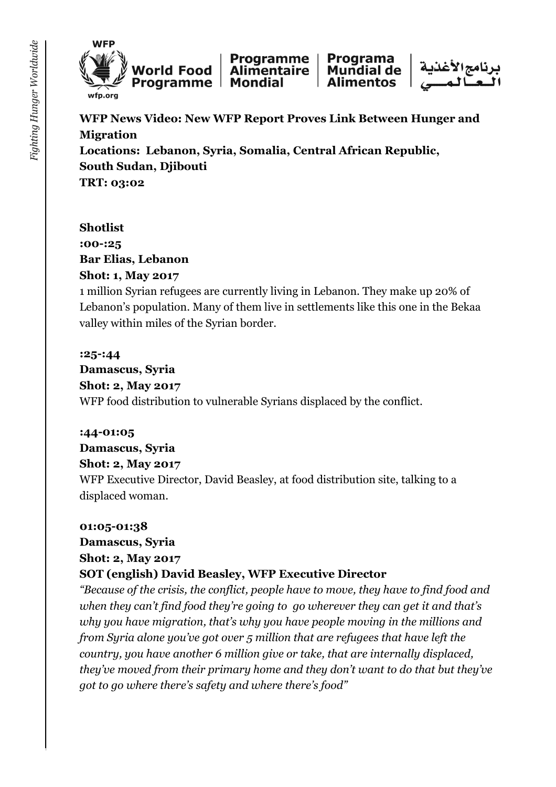



**Programme** Programa Mundial de **Alimentaire Mondial Alimentos** 



**WFP News Video: New WFP Report Proves Link Between Hunger and Migration Locations: Lebanon, Syria, Somalia, Central African Republic, South Sudan, Djibouti TRT: 03:02**

#### **Shotlist :00-:25 Bar Elias, Lebanon Shot: 1, May 2017**

1 million Syrian refugees are currently living in Lebanon. They make up 20% of Lebanon's population. Many of them live in settlements like this one in the Bekaa valley within miles of the Syrian border.

#### **:25-:44**

**Damascus, Syria Shot: 2, May 2017** WFP food distribution to vulnerable Syrians displaced by the conflict.

#### **:44-01:05**

#### **Damascus, Syria**

#### **Shot: 2, May 2017**

WFP Executive Director, David Beasley, at food distribution site, talking to a displaced woman.

#### **01:05-01:38**

#### **Damascus, Syria**

#### **Shot: 2, May 2017**

#### **SOT (english) David Beasley, WFP Executive Director**

*"Because of the crisis, the conflict, people have to move, they have to find food and when they can't find food they're going to go wherever they can get it and that's why you have migration, that's why you have people moving in the millions and from Syria alone you've got over 5 million that are refugees that have left the country, you have another 6 million give or take, that are internally displaced, they've moved from their primary home and they don't want to do that but they've got to go where there's safety and where there's food"*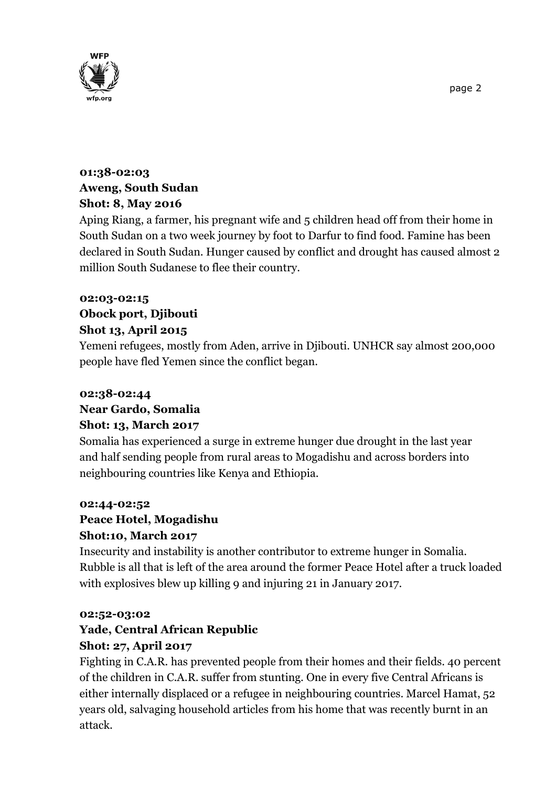

#### **01:38-02:03 Aweng, South Sudan Shot: 8, May 2016**

Aping Riang, a farmer, his pregnant wife and 5 children head off from their home in South Sudan on a two week journey by foot to Darfur to find food. Famine has been declared in South Sudan. Hunger caused by conflict and drought has caused almost 2 million South Sudanese to flee their country.

#### **02:03-02:15 Obock port, Djibouti Shot 13, April 2015**

Yemeni refugees, mostly from Aden, arrive in Djibouti. UNHCR say almost 200,000 people have fled Yemen since the conflict began.

#### **02:38-02:44 Near Gardo, Somalia Shot: 13, March 2017**

Somalia has experienced a surge in extreme hunger due drought in the last year and half sending people from rural areas to Mogadishu and across borders into neighbouring countries like Kenya and Ethiopia.

#### **02:44-02:52**

#### **Peace Hotel, Mogadishu**

#### **Shot:10, March 2017**

Insecurity and instability is another contributor to extreme hunger in Somalia. Rubble is all that is left of the area around the former Peace Hotel after a truck loaded with explosives blew up killing 9 and injuring 21 in January 2017.

#### **02:52-03:02**

# **Yade, Central African Republic**

#### **Shot: 27, April 2017**

Fighting in C.A.R. has prevented people from their homes and their fields. 40 percent of the children in C.A.R. suffer from stunting. One in every five Central Africans is either internally displaced or a refugee in neighbouring countries. Marcel Hamat, 52 years old, salvaging household articles from his home that was recently burnt in an attack.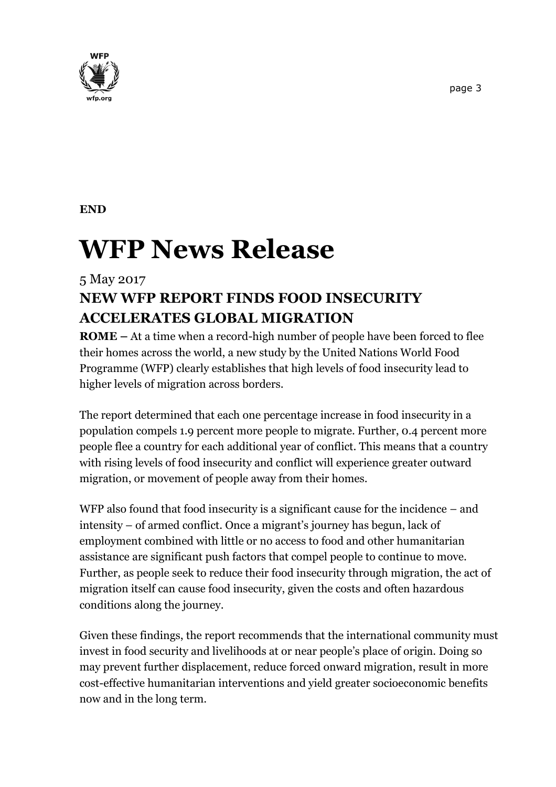

# **WFP News Release**

## 5 May 2017 **NEW WFP REPORT FINDS FOOD INSECURITY ACCELERATES GLOBAL MIGRATION**

**ROME –** At a time when a record-high number of people have been forced to flee their homes across the world, a new study by the United Nations World Food Programme (WFP) clearly establishes that high levels of food insecurity lead to higher levels of migration across borders.

The report determined that each one percentage increase in food insecurity in a population compels 1.9 percent more people to migrate. Further, 0.4 percent more people flee a country for each additional year of conflict. This means that a country with rising levels of food insecurity and conflict will experience greater outward migration, or movement of people away from their homes.

WFP also found that food insecurity is a significant cause for the incidence – and intensity – of armed conflict. Once a migrant's journey has begun, lack of employment combined with little or no access to food and other humanitarian assistance are significant push factors that compel people to continue to move. Further, as people seek to reduce their food insecurity through migration, the act of migration itself can cause food insecurity, given the costs and often hazardous conditions along the journey.

Given these findings, the report recommends that the international community must invest in food security and livelihoods at or near people's place of origin. Doing so may prevent further displacement, reduce forced onward migration, result in more cost-effective humanitarian interventions and yield greater socioeconomic benefits now and in the long term.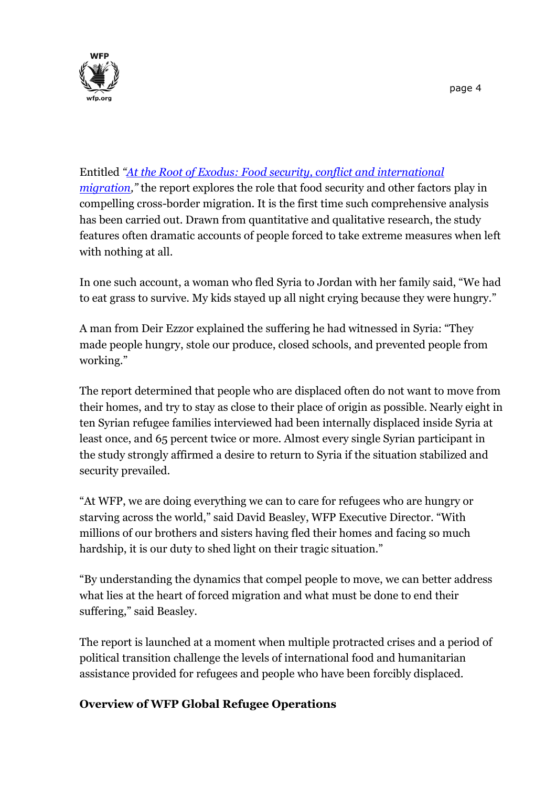

### Entitled *"[At the Root of Exodus: Food security, conflict and international](http://www.wfp.org/content/2017-root-exodus-food-security-conflict-and-international-migration)*

*[migration](http://www.wfp.org/content/2017-root-exodus-food-security-conflict-and-international-migration),"* the report explores the role that food security and other factors play in compelling cross-border migration. It is the first time such comprehensive analysis has been carried out. Drawn from quantitative and qualitative research, the study features often dramatic accounts of people forced to take extreme measures when left with nothing at all.

In one such account, a woman who fled Syria to Jordan with her family said, "We had to eat grass to survive. My kids stayed up all night crying because they were hungry."

A man from Deir Ezzor explained the suffering he had witnessed in Syria: "They made people hungry, stole our produce, closed schools, and prevented people from working."

The report determined that people who are displaced often do not want to move from their homes, and try to stay as close to their place of origin as possible. Nearly eight in ten Syrian refugee families interviewed had been internally displaced inside Syria at least once, and 65 percent twice or more. Almost every single Syrian participant in the study strongly affirmed a desire to return to Syria if the situation stabilized and security prevailed.

"At WFP, we are doing everything we can to care for refugees who are hungry or starving across the world," said David Beasley, WFP Executive Director. "With millions of our brothers and sisters having fled their homes and facing so much hardship, it is our duty to shed light on their tragic situation."

"By understanding the dynamics that compel people to move, we can better address what lies at the heart of forced migration and what must be done to end their suffering," said Beasley.

The report is launched at a moment when multiple protracted crises and a period of political transition challenge the levels of international food and humanitarian assistance provided for refugees and people who have been forcibly displaced.

#### **Overview of WFP Global Refugee Operations**